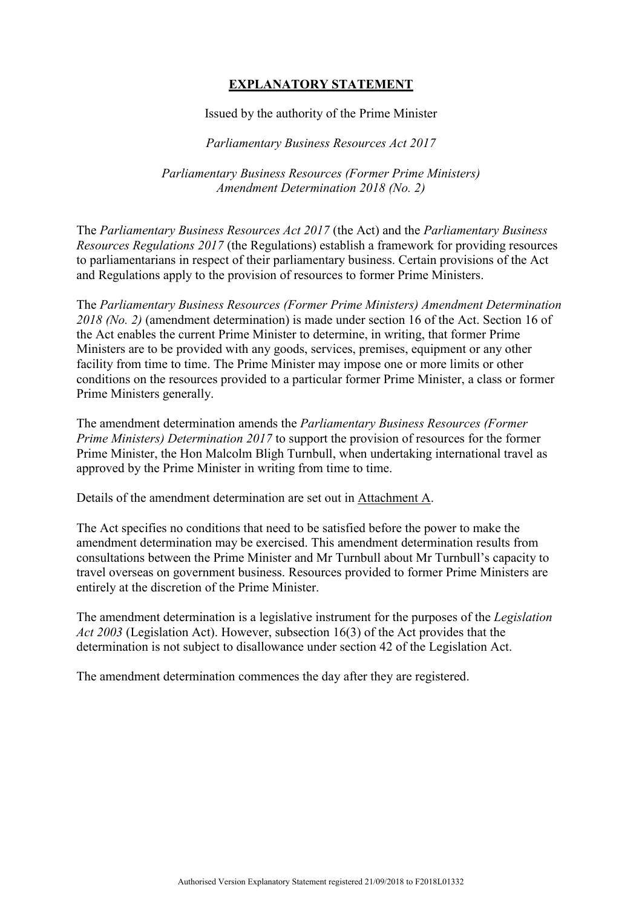# **EXPLANATORY STATEMENT**

Issued by the authority of the Prime Minister

*Parliamentary Business Resources Act 2017*

*Parliamentary Business Resources (Former Prime Ministers) Amendment Determination 2018 (No. 2)*

The *Parliamentary Business Resources Act 2017* (the Act) and the *Parliamentary Business Resources Regulations 2017* (the Regulations) establish a framework for providing resources to parliamentarians in respect of their parliamentary business. Certain provisions of the Act and Regulations apply to the provision of resources to former Prime Ministers.

The *Parliamentary Business Resources (Former Prime Ministers) Amendment Determination 2018 (No. 2)* (amendment determination) is made under section 16 of the Act. Section 16 of the Act enables the current Prime Minister to determine, in writing, that former Prime Ministers are to be provided with any goods, services, premises, equipment or any other facility from time to time. The Prime Minister may impose one or more limits or other conditions on the resources provided to a particular former Prime Minister, a class or former Prime Ministers generally.

The amendment determination amends the *Parliamentary Business Resources (Former Prime Ministers) Determination 2017* to support the provision of resources for the former Prime Minister, the Hon Malcolm Bligh Turnbull, when undertaking international travel as approved by the Prime Minister in writing from time to time.

Details of the amendment determination are set out in Attachment A.

The Act specifies no conditions that need to be satisfied before the power to make the amendment determination may be exercised. This amendment determination results from consultations between the Prime Minister and Mr Turnbull about Mr Turnbull's capacity to travel overseas on government business. Resources provided to former Prime Ministers are entirely at the discretion of the Prime Minister.

The amendment determination is a legislative instrument for the purposes of the *Legislation Act 2003* (Legislation Act). However, subsection 16(3) of the Act provides that the determination is not subject to disallowance under section 42 of the Legislation Act.

The amendment determination commences the day after they are registered.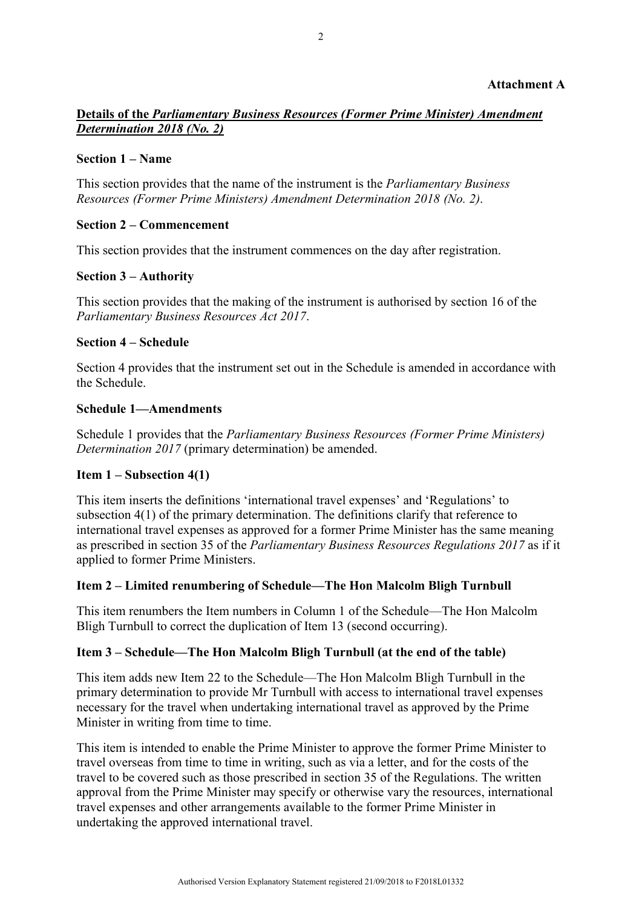### **Attachment A**

## **Details of the** *Parliamentary Business Resources (Former Prime Minister) Amendment Determination 2018 (No. 2)*

#### **Section 1 – Name**

This section provides that the name of the instrument is the *Parliamentary Business Resources (Former Prime Ministers) Amendment Determination 2018 (No. 2)*.

### **Section 2 – Commencement**

This section provides that the instrument commences on the day after registration.

#### **Section 3 – Authority**

This section provides that the making of the instrument is authorised by section 16 of the *Parliamentary Business Resources Act 2017*.

#### **Section 4 – Schedule**

Section 4 provides that the instrument set out in the Schedule is amended in accordance with the Schedule.

### **Schedule 1—Amendments**

Schedule 1 provides that the *Parliamentary Business Resources (Former Prime Ministers) Determination 2017* (primary determination) be amended.

## **Item 1 – Subsection 4(1)**

This item inserts the definitions 'international travel expenses' and 'Regulations' to subsection 4(1) of the primary determination. The definitions clarify that reference to international travel expenses as approved for a former Prime Minister has the same meaning as prescribed in section 35 of the *Parliamentary Business Resources Regulations 2017* as if it applied to former Prime Ministers.

#### **Item 2 – Limited renumbering of Schedule—The Hon Malcolm Bligh Turnbull**

This item renumbers the Item numbers in Column 1 of the Schedule—The Hon Malcolm Bligh Turnbull to correct the duplication of Item 13 (second occurring).

# **Item 3 – Schedule—The Hon Malcolm Bligh Turnbull (at the end of the table)**

This item adds new Item 22 to the Schedule—The Hon Malcolm Bligh Turnbull in the primary determination to provide Mr Turnbull with access to international travel expenses necessary for the travel when undertaking international travel as approved by the Prime Minister in writing from time to time.

This item is intended to enable the Prime Minister to approve the former Prime Minister to travel overseas from time to time in writing, such as via a letter, and for the costs of the travel to be covered such as those prescribed in section 35 of the Regulations. The written approval from the Prime Minister may specify or otherwise vary the resources, international travel expenses and other arrangements available to the former Prime Minister in undertaking the approved international travel.